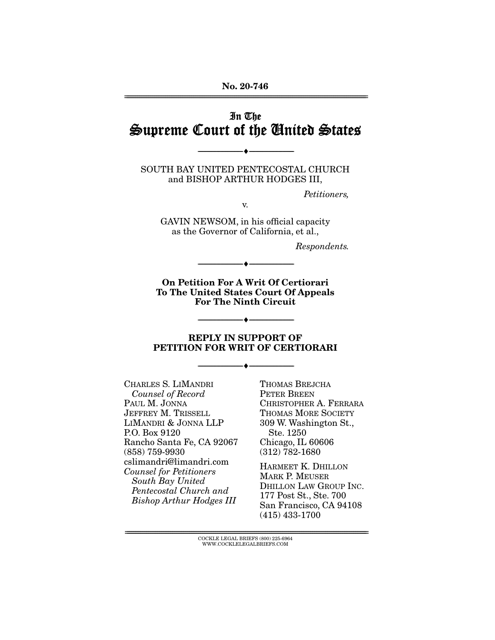**No. 20-746**  ================================================================================================================

### In The Supreme Court of the United States

SOUTH BAY UNITED PENTECOSTAL CHURCH and BISHOP ARTHUR HODGES III,

--------------------------------- ♦ ---------------------------------

Petitioners,

v.

GAVIN NEWSOM, in his official capacity as the Governor of California, et al.,

Respondents.

**On Petition For A Writ Of Certiorari To The United States Court Of Appeals For The Ninth Circuit** 

--------------------------------- ♦ ---------------------------------

#### **REPLY IN SUPPORT OF PETITION FOR WRIT OF CERTIORARI**

--------------------------------- ♦ ---------------------------------

--------------------------------- ♦ ---------------------------------

CHARLES S. LIMANDRI Counsel of Record PAUL M. JONNA JEFFREY M. TRISSELL LIMANDRI & JONNA LLP P.O. Box 9120 Rancho Santa Fe, CA 92067 (858) 759-9930 cslimandri@limandri.com Counsel for Petitioners South Bay United Pentecostal Church and Bishop Arthur Hodges III

THOMAS BREJCHA PETER BREEN CHRISTOPHER A. FERRARA THOMAS MORE SOCIETY 309 W. Washington St., Ste. 1250 Chicago, IL 60606 (312) 782-1680

HARMEET K. DHILLON MARK P. MEUSER DHILLON LAW GROUP INC. 177 Post St., Ste. 700 San Francisco, CA 94108 (415) 433-1700

 ${ \rm COCKLE}$  LEGAL BRIEFS (800) 225-6964 WWW.COCKLELEGALBRIEFS.COM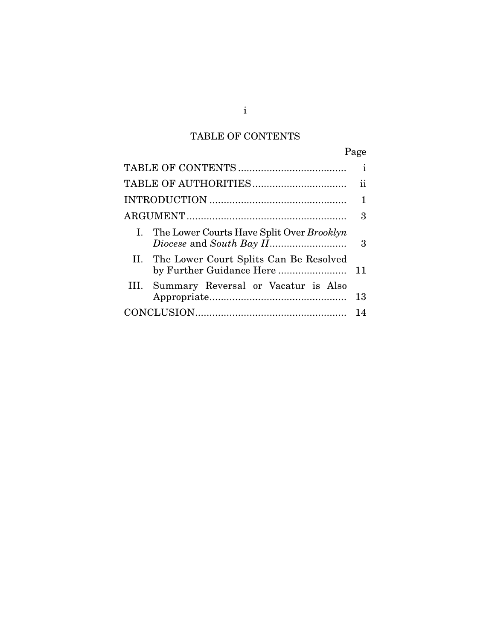# TABLE OF CONTENTS

|                                              | Page        |
|----------------------------------------------|-------------|
|                                              | i           |
|                                              | ii          |
|                                              | $\mathbf 1$ |
|                                              | 3           |
| I. The Lower Courts Have Split Over Brooklyn | 3           |
| II. The Lower Court Splits Can Be Resolved   | 11          |
| Summary Reversal or Vacatur is Also<br>III.  | 13          |
|                                              | 14          |

i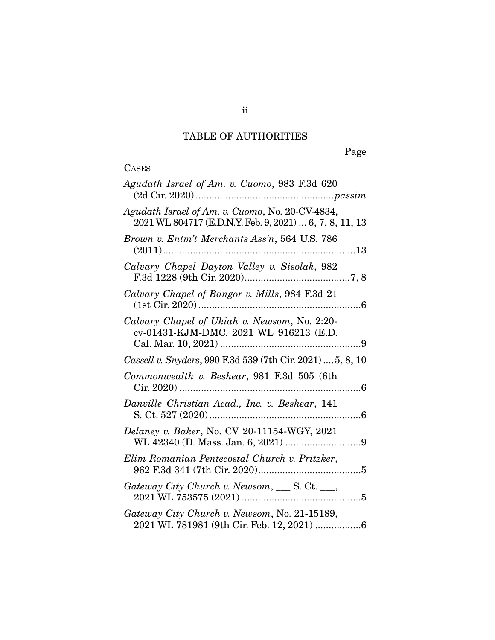# TABLE OF AUTHORITIES

Page

# CASES

| Agudath Israel of Am. v. Cuomo, 983 F.3d 620                                                               |
|------------------------------------------------------------------------------------------------------------|
| Agudath Israel of Am. v. Cuomo, No. 20-CV-4834,<br>2021 WL 804717 (E.D.N.Y. Feb. 9, 2021)  6, 7, 8, 11, 13 |
| Brown v. Entm't Merchants Ass'n, 564 U.S. 786                                                              |
| Calvary Chapel Dayton Valley v. Sisolak, 982                                                               |
| Calvary Chapel of Bangor v. Mills, 984 F.3d 21                                                             |
| Calvary Chapel of Ukiah v. Newsom, No. 2:20-<br>cv-01431-KJM-DMC, 2021 WL 916213 (E.D.                     |
| Cassell v. Snyders, 990 F.3d 539 (7th Cir. 2021)  5, 8, 10                                                 |
| Commonwealth v. Beshear, 981 F.3d 505 (6th                                                                 |
| Danville Christian Acad., Inc. v. Beshear, 141<br>S. Ct. 527 (2020)                                        |
| Delaney v. Baker, No. CV 20-11154-WGY, 2021                                                                |
| Elim Romanian Pentecostal Church v. Pritzker,                                                              |
| Gateway City Church v. Newsom, ___ S. Ct. __,                                                              |
| Gateway City Church v. Newsom, No. 21-15189,<br>2021 WL 781981 (9th Cir. Feb. 12, 2021) 6                  |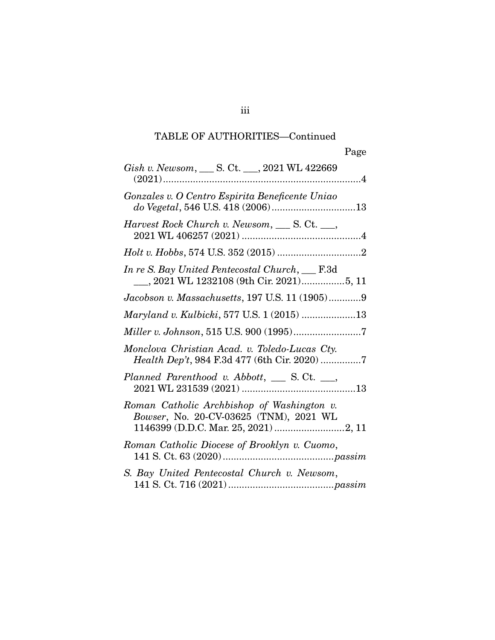## TABLE OF AUTHORITIES—Continued

| Gish v. Newsom, ____ S. Ct. ___, 2021 WL 422669                                               |
|-----------------------------------------------------------------------------------------------|
| Gonzales v. O Centro Espirita Beneficente Uniao                                               |
| Harvest Rock Church v. Newsom, S. Ct. __,                                                     |
|                                                                                               |
| In re S. Bay United Pentecostal Church, __ F.3d                                               |
| Jacobson v. Massachusetts, 197 U.S. 11 (1905)9                                                |
| Maryland v. Kulbicki, 577 U.S. 1 (2015) 13                                                    |
|                                                                                               |
| Monclova Christian Acad. v. Toledo-Lucas Cty.<br>Health Dep't, 984 F.3d 477 (6th Cir. 2020) 7 |
| Planned Parenthood v. Abbott, __ S. Ct. __,                                                   |
| Roman Catholic Archbishop of Washington v.<br>Bowser, No. 20-CV-03625 (TNM), 2021 WL          |
| Roman Catholic Diocese of Brooklyn v. Cuomo,                                                  |
| S. Bay United Pentecostal Church v. Newsom,                                                   |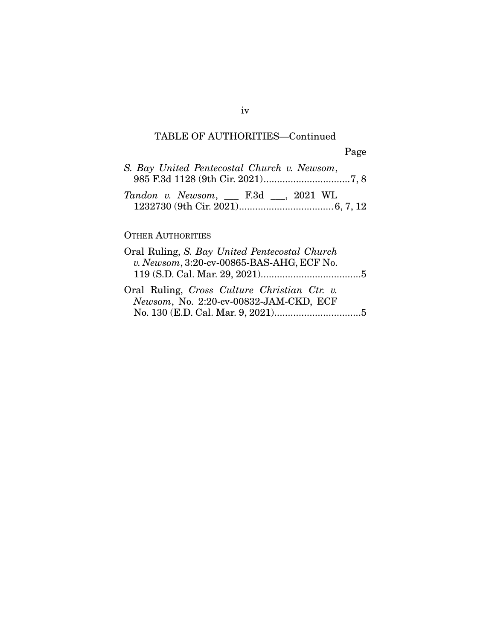## TABLE OF AUTHORITIES—Continued

| S. Bay United Pentecostal Church v. Newsom,      |  |  |
|--------------------------------------------------|--|--|
| Tandon v. Newsom, $\quad$ F.3d $\quad$ , 2021 WL |  |  |

#### OTHER AUTHORITIES

| Oral Ruling, S. Bay United Pentecostal Church |  |
|-----------------------------------------------|--|
| v. Newsom, 3:20-cv-00865-BAS-AHG, ECF No.     |  |
|                                               |  |
| Oral Ruling, Cross Culture Christian Ctr. v.  |  |
| Newsom, No. 2:20-cv-00832-JAM-CKD, ECF        |  |
|                                               |  |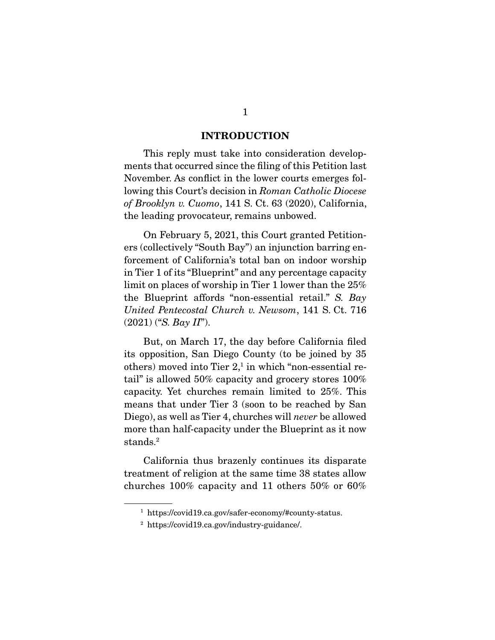#### **INTRODUCTION**

This reply must take into consideration developments that occurred since the filing of this Petition last November. As conflict in the lower courts emerges following this Court's decision in Roman Catholic Diocese of Brooklyn v. Cuomo, 141 S. Ct. 63 (2020), California, the leading provocateur, remains unbowed.

 On February 5, 2021, this Court granted Petitioners (collectively "South Bay") an injunction barring enforcement of California's total ban on indoor worship in Tier 1 of its "Blueprint" and any percentage capacity limit on places of worship in Tier 1 lower than the 25% the Blueprint affords "non-essential retail." S. Bay United Pentecostal Church v. Newsom, 141 S. Ct. 716  $(2021)$  ("S. Bay II").

 But, on March 17, the day before California filed its opposition, San Diego County (to be joined by 35 others) moved into Tier 2,<sup>1</sup> in which "non-essential retail" is allowed 50% capacity and grocery stores 100% capacity. Yet churches remain limited to 25%. This means that under Tier 3 (soon to be reached by San Diego), as well as Tier 4, churches will *never* be allowed more than half-capacity under the Blueprint as it now stands.2

 California thus brazenly continues its disparate treatment of religion at the same time 38 states allow churches 100% capacity and 11 others 50% or 60%

<sup>1</sup> https://covid19.ca.gov/safer-economy/#county-status.

<sup>2</sup> https://covid19.ca.gov/industry-guidance/.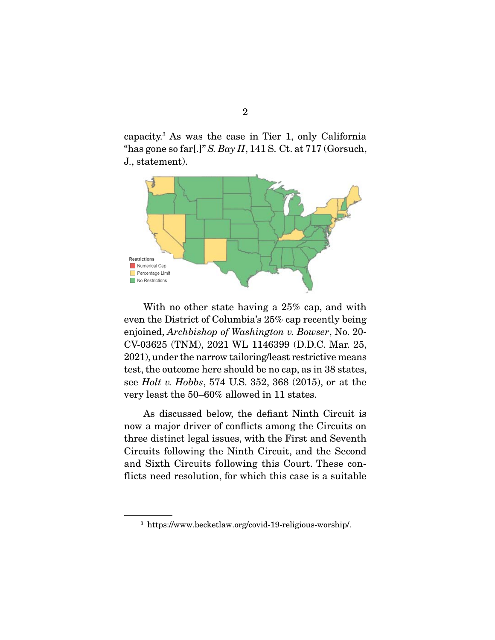capacity.3 As was the case in Tier 1, only California "has gone so far[.]" S. Bay  $II$ , 141 S. Ct. at 717 (Gorsuch, J., statement).



 With no other state having a 25% cap, and with even the District of Columbia's 25% cap recently being enjoined, Archbishop of Washington v. Bowser, No. 20- CV-03625 (TNM), 2021 WL 1146399 (D.D.C. Mar. 25, 2021), under the narrow tailoring/least restrictive means test, the outcome here should be no cap, as in 38 states, see Holt v. Hobbs, 574 U.S. 352, 368 (2015), or at the very least the 50–60% allowed in 11 states.

 As discussed below, the defiant Ninth Circuit is now a major driver of conflicts among the Circuits on three distinct legal issues, with the First and Seventh Circuits following the Ninth Circuit, and the Second and Sixth Circuits following this Court. These conflicts need resolution, for which this case is a suitable

<sup>3</sup> https://www.becketlaw.org/covid-19-religious-worship/.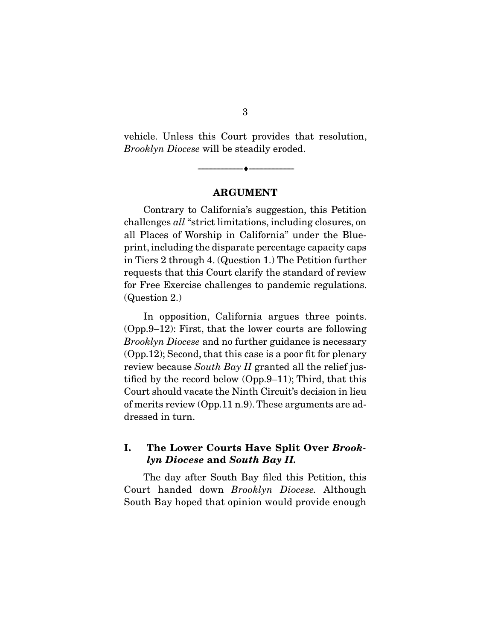vehicle. Unless this Court provides that resolution, Brooklyn Diocese will be steadily eroded.

#### **ARGUMENT**

--------------------------------- ♦ ---------------------------------

Contrary to California's suggestion, this Petition challenges all "strict limitations, including closures, on all Places of Worship in California" under the Blueprint, including the disparate percentage capacity caps in Tiers 2 through 4. (Question 1.) The Petition further requests that this Court clarify the standard of review for Free Exercise challenges to pandemic regulations. (Question 2.)

 In opposition, California argues three points. (Opp.9–12): First, that the lower courts are following Brooklyn Diocese and no further guidance is necessary (Opp.12); Second, that this case is a poor fit for plenary review because South Bay II granted all the relief justified by the record below (Opp.9–11); Third, that this Court should vacate the Ninth Circuit's decision in lieu of merits review (Opp.11 n.9). These arguments are addressed in turn.

#### **I. The Lower Courts Have Split Over** *Brooklyn Diocese* **and** *South Bay II.*

The day after South Bay filed this Petition, this Court handed down Brooklyn Diocese. Although South Bay hoped that opinion would provide enough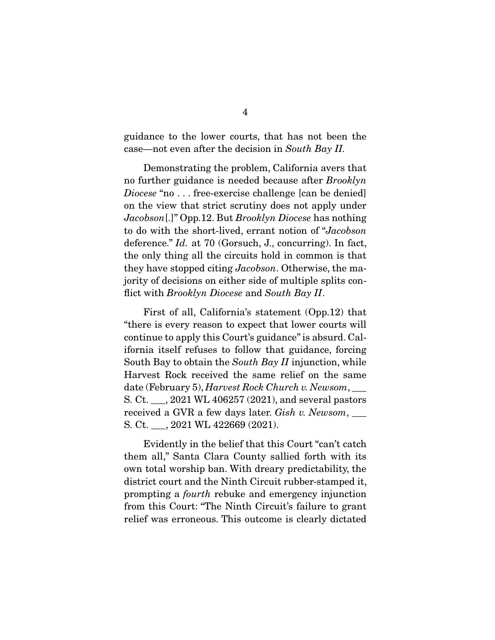guidance to the lower courts, that has not been the case—not even after the decision in South Bay II.

 Demonstrating the problem, California avers that no further guidance is needed because after Brooklyn Diocese "no... free-exercise challenge [can be denied] on the view that strict scrutiny does not apply under Jacobson[.]" Opp.12. But Brooklyn Diocese has nothing to do with the short-lived, errant notion of "Jacobson deference." *Id.* at 70 (Gorsuch, J., concurring). In fact, the only thing all the circuits hold in common is that they have stopped citing Jacobson. Otherwise, the majority of decisions on either side of multiple splits conflict with Brooklyn Diocese and South Bay II.

 First of all, California's statement (Opp.12) that "there is every reason to expect that lower courts will continue to apply this Court's guidance" is absurd. California itself refuses to follow that guidance, forcing South Bay to obtain the South Bay II injunction, while Harvest Rock received the same relief on the same  $\text{date (February 5),} \textit{Harvest} \textit{Rock Church v.} \textit{Newsom}, \underline{\ }$ S. Ct. \_\_\_, 2021 WL 406257 (2021), and several pastors received a GVR a few days later. Gish v. Newsom, S. Ct. \_\_\_, 2021 WL 422669 (2021).

 Evidently in the belief that this Court "can't catch them all," Santa Clara County sallied forth with its own total worship ban. With dreary predictability, the district court and the Ninth Circuit rubber-stamped it, prompting a fourth rebuke and emergency injunction from this Court: "The Ninth Circuit's failure to grant relief was erroneous. This outcome is clearly dictated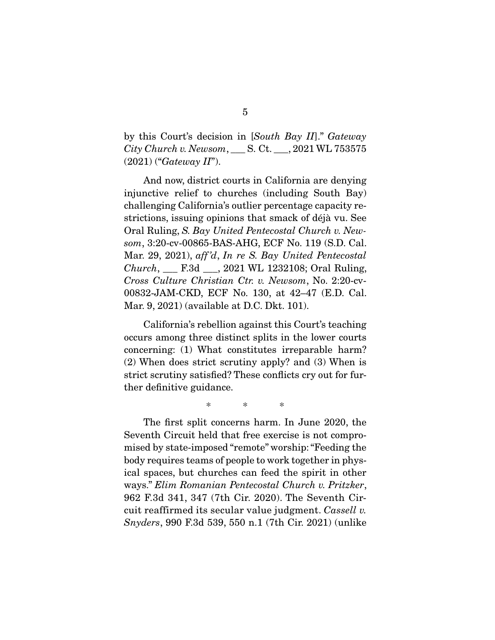by this Court's decision in [South Bay II]." Gateway City Church v. Newsom, \_\_\_ S. Ct. \_\_\_, 2021 WL 753575  $(2021)$  ("Gateway II").

 And now, district courts in California are denying injunctive relief to churches (including South Bay) challenging California's outlier percentage capacity restrictions, issuing opinions that smack of déjà vu. See Oral Ruling, S. Bay United Pentecostal Church v. Newsom, 3:20-cv-00865-BAS-AHG, ECF No. 119 (S.D. Cal. Mar. 29, 2021), aff 'd, In re S. Bay United Pentecostal Church, \_\_\_ F.3d \_\_\_, 2021 WL 1232108; Oral Ruling, Cross Culture Christian Ctr. v. Newsom, No. 2:20-cv-00832-JAM-CKD, ECF No. 130, at 42–47 (E.D. Cal. Mar. 9, 2021) (available at D.C. Dkt. 101).

 California's rebellion against this Court's teaching occurs among three distinct splits in the lower courts concerning: (1) What constitutes irreparable harm? (2) When does strict scrutiny apply? and (3) When is strict scrutiny satisfied? These conflicts cry out for further definitive guidance.

\* \* \*

 The first split concerns harm. In June 2020, the Seventh Circuit held that free exercise is not compromised by state-imposed "remote" worship: "Feeding the body requires teams of people to work together in physical spaces, but churches can feed the spirit in other ways." Elim Romanian Pentecostal Church v. Pritzker, 962 F.3d 341, 347 (7th Cir. 2020). The Seventh Circuit reaffirmed its secular value judgment. Cassell v. Snyders, 990 F.3d 539, 550 n.1 (7th Cir. 2021) (unlike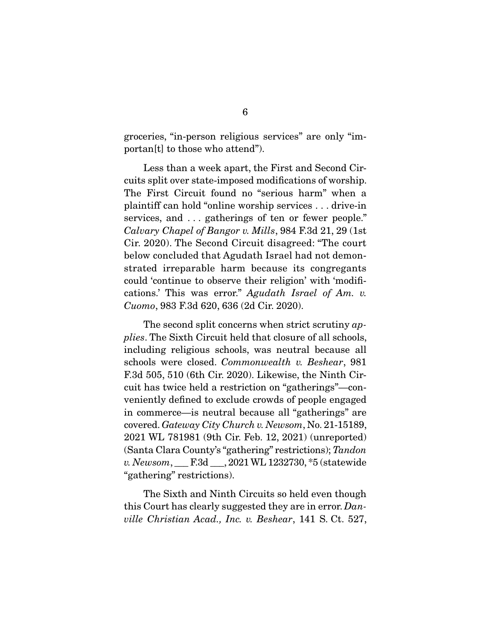groceries, "in-person religious services" are only "importan[t] to those who attend").

 Less than a week apart, the First and Second Circuits split over state-imposed modifications of worship. The First Circuit found no "serious harm" when a plaintiff can hold "online worship services . . . drive-in services, and ... gatherings of ten or fewer people." Calvary Chapel of Bangor v. Mills, 984 F.3d 21, 29 (1st Cir. 2020). The Second Circuit disagreed: "The court below concluded that Agudath Israel had not demonstrated irreparable harm because its congregants could 'continue to observe their religion' with 'modifications.' This was error." Agudath Israel of Am. v. Cuomo, 983 F.3d 620, 636 (2d Cir. 2020).

The second split concerns when strict scrutiny applies. The Sixth Circuit held that closure of all schools, including religious schools, was neutral because all schools were closed. Commonwealth v. Beshear, 981 F.3d 505, 510 (6th Cir. 2020). Likewise, the Ninth Circuit has twice held a restriction on "gatherings"—conveniently defined to exclude crowds of people engaged in commerce—is neutral because all "gatherings" are covered. Gateway City Church v. Newsom, No. 21-15189, 2021 WL 781981 (9th Cir. Feb. 12, 2021) (unreported) (Santa Clara County's "gathering" restrictions); Tandon v. Newsom, \_\_\_ F.3d \_\_\_, 2021 WL 1232730, \*5 (statewide "gathering" restrictions).

 The Sixth and Ninth Circuits so held even though this Court has clearly suggested they are in error. Danville Christian Acad., Inc. v. Beshear, 141 S. Ct. 527,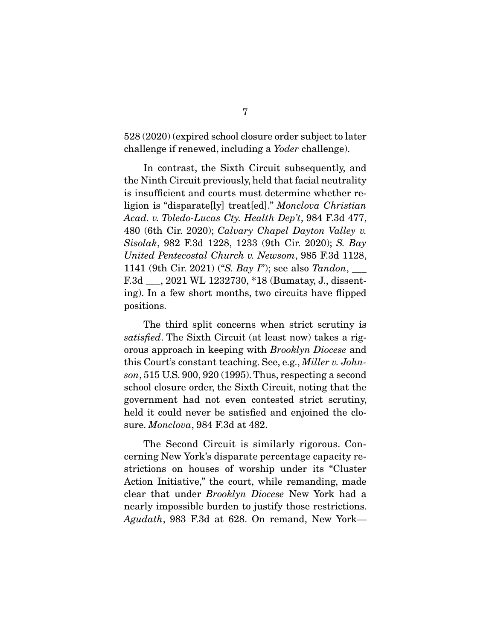528 (2020) (expired school closure order subject to later challenge if renewed, including a Yoder challenge).

 In contrast, the Sixth Circuit subsequently, and the Ninth Circuit previously, held that facial neutrality is insufficient and courts must determine whether religion is "disparate[ly] treat[ed]." Monclova Christian Acad. v. Toledo-Lucas Cty. Health Dep't, 984 F.3d 477, 480 (6th Cir. 2020); Calvary Chapel Dayton Valley v. Sisolak, 982 F.3d 1228, 1233 (9th Cir. 2020); S. Bay United Pentecostal Church v. Newsom, 985 F.3d 1128, 1141 (9th Cir. 2021) ("S. Bay I"); see also Tandon,  $\Box$ F.3d \_\_\_, 2021 WL 1232730, \*18 (Bumatay, J., dissenting). In a few short months, two circuits have flipped positions.

 The third split concerns when strict scrutiny is satisfied. The Sixth Circuit (at least now) takes a rigorous approach in keeping with Brooklyn Diocese and this Court's constant teaching. See, e.g., Miller v. Johnson, 515 U.S. 900, 920 (1995). Thus, respecting a second school closure order, the Sixth Circuit, noting that the government had not even contested strict scrutiny, held it could never be satisfied and enjoined the closure. Monclova, 984 F.3d at 482.

 The Second Circuit is similarly rigorous. Concerning New York's disparate percentage capacity restrictions on houses of worship under its "Cluster Action Initiative," the court, while remanding, made clear that under Brooklyn Diocese New York had a nearly impossible burden to justify those restrictions. Agudath, 983 F.3d at 628. On remand, New York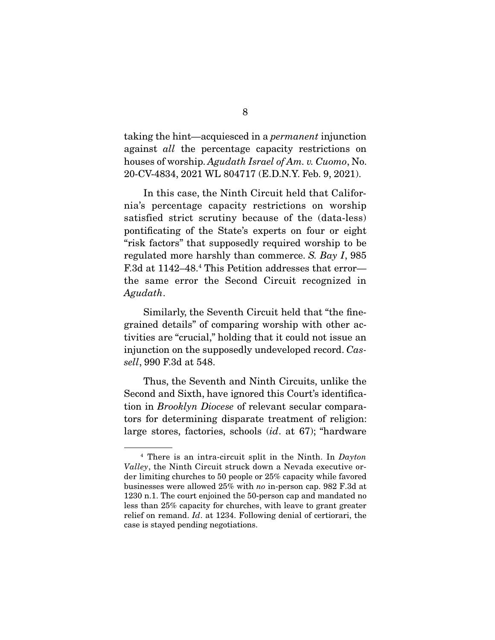taking the hint—acquiesced in a permanent injunction against all the percentage capacity restrictions on houses of worship. Agudath Israel of Am. v. Cuomo, No. 20-CV-4834, 2021 WL 804717 (E.D.N.Y. Feb. 9, 2021).

 In this case, the Ninth Circuit held that California's percentage capacity restrictions on worship satisfied strict scrutiny because of the (data-less) pontificating of the State's experts on four or eight "risk factors" that supposedly required worship to be regulated more harshly than commerce. S. Bay I, 985 F.3d at 1142–48.<sup>4</sup> This Petition addresses that error the same error the Second Circuit recognized in Agudath.

Similarly, the Seventh Circuit held that "the finegrained details" of comparing worship with other activities are "crucial," holding that it could not issue an injunction on the supposedly undeveloped record. Cassell, 990 F.3d at 548.

 Thus, the Seventh and Ninth Circuits, unlike the Second and Sixth, have ignored this Court's identification in Brooklyn Diocese of relevant secular comparators for determining disparate treatment of religion: large stores, factories, schools (id. at 67); "hardware

 $4$  There is an intra-circuit split in the Ninth. In Dayton Valley, the Ninth Circuit struck down a Nevada executive order limiting churches to 50 people or 25% capacity while favored businesses were allowed 25% with no in-person cap. 982 F.3d at 1230 n.1. The court enjoined the 50-person cap and mandated no less than 25% capacity for churches, with leave to grant greater relief on remand. Id. at 1234. Following denial of certiorari, the case is stayed pending negotiations.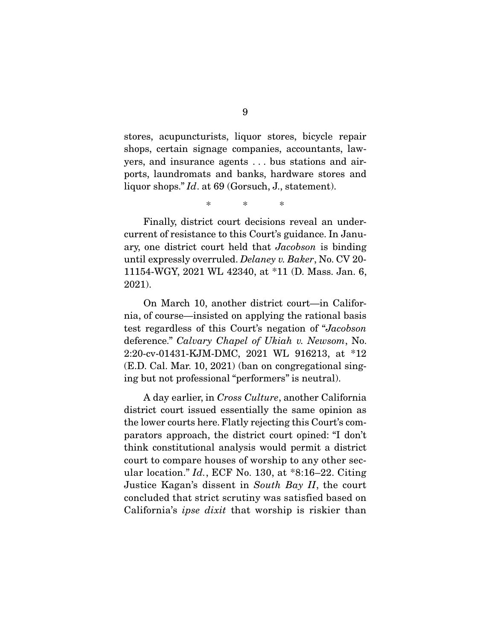stores, acupuncturists, liquor stores, bicycle repair shops, certain signage companies, accountants, lawyers, and insurance agents . . . bus stations and airports, laundromats and banks, hardware stores and liquor shops." Id. at 69 (Gorsuch, J., statement).

\* \* \*

 Finally, district court decisions reveal an undercurrent of resistance to this Court's guidance. In January, one district court held that Jacobson is binding until expressly overruled. Delaney v. Baker, No. CV 20- 11154-WGY, 2021 WL 42340, at \*11 (D. Mass. Jan. 6, 2021).

 On March 10, another district court—in California, of course—insisted on applying the rational basis test regardless of this Court's negation of "Jacobson deference." Calvary Chapel of Ukiah v. Newsom, No. 2:20-cv-01431-KJM-DMC, 2021 WL 916213, at \*12 (E.D. Cal. Mar. 10, 2021) (ban on congregational singing but not professional "performers" is neutral).

 A day earlier, in Cross Culture, another California district court issued essentially the same opinion as the lower courts here. Flatly rejecting this Court's comparators approach, the district court opined: "I don't think constitutional analysis would permit a district court to compare houses of worship to any other secular location."  $Id.$ , ECF No. 130, at \*8:16-22. Citing Justice Kagan's dissent in South Bay II, the court concluded that strict scrutiny was satisfied based on California's ipse dixit that worship is riskier than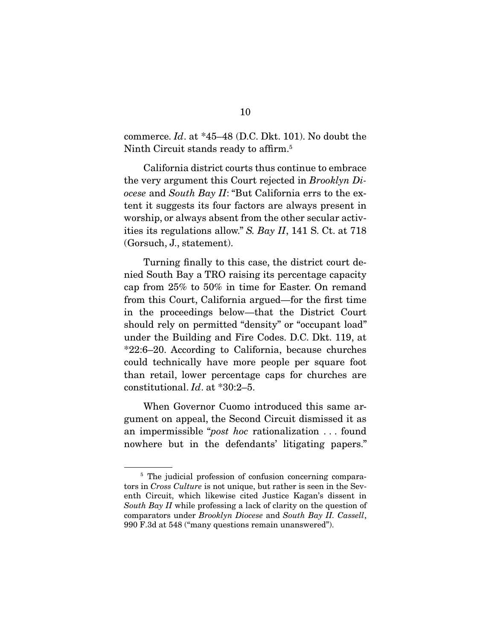commerce. Id. at \*45–48 (D.C. Dkt. 101). No doubt the Ninth Circuit stands ready to affirm.<sup>5</sup>

 California district courts thus continue to embrace the very argument this Court rejected in Brooklyn Diocese and South Bay II: "But California errs to the extent it suggests its four factors are always present in worship, or always absent from the other secular activities its regulations allow." S. Bay II, 141 S. Ct. at 718 (Gorsuch, J., statement).

 Turning finally to this case, the district court denied South Bay a TRO raising its percentage capacity cap from 25% to 50% in time for Easter. On remand from this Court, California argued—for the first time in the proceedings below—that the District Court should rely on permitted "density" or "occupant load" under the Building and Fire Codes. D.C. Dkt. 119, at \*22:6–20. According to California, because churches could technically have more people per square foot than retail, lower percentage caps for churches are constitutional. Id. at \*30:2–5.

 When Governor Cuomo introduced this same argument on appeal, the Second Circuit dismissed it as an impermissible "post hoc rationalization . . . found nowhere but in the defendants' litigating papers."

<sup>&</sup>lt;sup>5</sup> The judicial profession of confusion concerning comparators in Cross Culture is not unique, but rather is seen in the Seventh Circuit, which likewise cited Justice Kagan's dissent in South Bay II while professing a lack of clarity on the question of comparators under Brooklyn Diocese and South Bay II. Cassell, 990 F.3d at 548 ("many questions remain unanswered").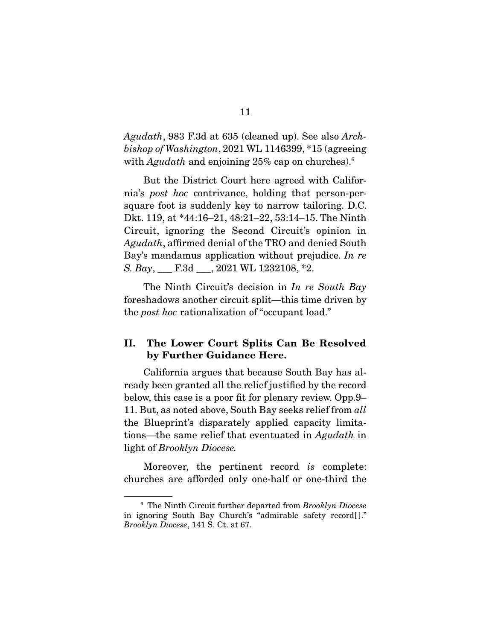Agudath, 983 F.3d at 635 (cleaned up). See also Archbishop of Washington, 2021 WL 1146399, \*15 (agreeing with Agudath and enjoining  $25\%$  cap on churches).<sup>6</sup>

 But the District Court here agreed with California's post hoc contrivance, holding that person-persquare foot is suddenly key to narrow tailoring. D.C. Dkt. 119, at \*44:16–21, 48:21–22, 53:14–15. The Ninth Circuit, ignoring the Second Circuit's opinion in Agudath, affirmed denial of the TRO and denied South Bay's mandamus application without prejudice. In re S. Bay, \_\_\_ F.3d \_\_\_, 2021 WL 1232108, \*2.

The Ninth Circuit's decision in In re South Bay foreshadows another circuit split—this time driven by the post hoc rationalization of "occupant load."

#### **II. The Lower Court Splits Can Be Resolved by Further Guidance Here.**

California argues that because South Bay has already been granted all the relief justified by the record below, this case is a poor fit for plenary review. Opp.9– 11. But, as noted above, South Bay seeks relief from all the Blueprint's disparately applied capacity limitations—the same relief that eventuated in Agudath in light of Brooklyn Diocese.

Moreover, the pertinent record is complete: churches are afforded only one-half or one-third the

 $6$  The Ninth Circuit further departed from Brooklyn Diocese in ignoring South Bay Church's "admirable safety record[ ]." Brooklyn Diocese, 141 S. Ct. at 67.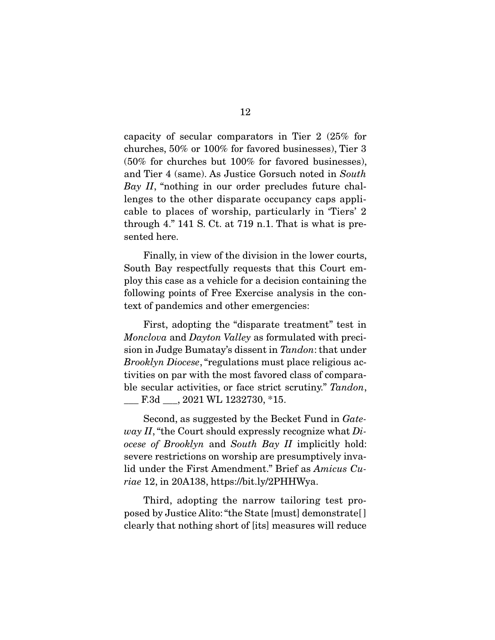capacity of secular comparators in Tier 2 (25% for churches, 50% or 100% for favored businesses), Tier 3 (50% for churches but 100% for favored businesses), and Tier 4 (same). As Justice Gorsuch noted in South Bay II, "nothing in our order precludes future challenges to the other disparate occupancy caps applicable to places of worship, particularly in 'Tiers' 2 through 4." 141 S. Ct. at 719 n.1. That is what is presented here.

 Finally, in view of the division in the lower courts, South Bay respectfully requests that this Court employ this case as a vehicle for a decision containing the following points of Free Exercise analysis in the context of pandemics and other emergencies:

 First, adopting the "disparate treatment" test in Monclova and Dayton Valley as formulated with precision in Judge Bumatay's dissent in Tandon: that under Brooklyn Diocese, "regulations must place religious activities on par with the most favored class of comparable secular activities, or face strict scrutiny." Tandon, \_\_\_ F.3d \_\_\_, 2021 WL 1232730, \*15.

 Second, as suggested by the Becket Fund in Gate*way II*, "the Court should expressly recognize what  $Di$ ocese of Brooklyn and South Bay II implicitly hold: severe restrictions on worship are presumptively invalid under the First Amendment." Brief as Amicus Curiae 12, in 20A138, https://bit.ly/2PHHWya.

 Third, adopting the narrow tailoring test proposed by Justice Alito: "the State [must] demonstrate[ ] clearly that nothing short of [its] measures will reduce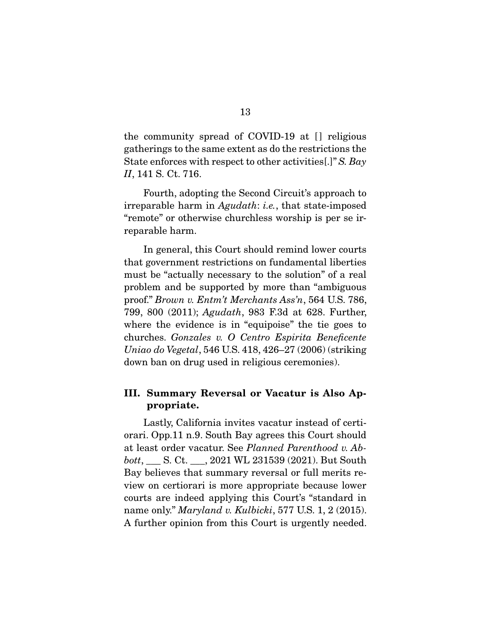the community spread of COVID-19 at [] religious gatherings to the same extent as do the restrictions the State enforces with respect to other activities..." S. Bay II, 141 S. Ct. 716.

 Fourth, adopting the Second Circuit's approach to irreparable harm in Agudath: i.e., that state-imposed "remote" or otherwise churchless worship is per se irreparable harm.

 In general, this Court should remind lower courts that government restrictions on fundamental liberties must be "actually necessary to the solution" of a real problem and be supported by more than "ambiguous proof." Brown v. Entm't Merchants Ass'n, 564 U.S. 786, 799, 800 (2011); Agudath, 983 F.3d at 628. Further, where the evidence is in "equipoise" the tie goes to churches. Gonzales v. O Centro Espirita Beneficente Uniao do Vegetal, 546 U.S. 418, 426–27 (2006) (striking down ban on drug used in religious ceremonies).

#### **III. Summary Reversal or Vacatur is Also Appropriate.**

Lastly, California invites vacatur instead of certiorari. Opp.11 n.9. South Bay agrees this Court should at least order vacatur. See Planned Parenthood v. Abbott, \_\_\_ S. Ct. \_\_\_, 2021 WL 231539 (2021). But South Bay believes that summary reversal or full merits review on certiorari is more appropriate because lower courts are indeed applying this Court's "standard in name only." *Maryland v. Kulbicki*, 577 U.S. 1, 2 (2015). A further opinion from this Court is urgently needed.